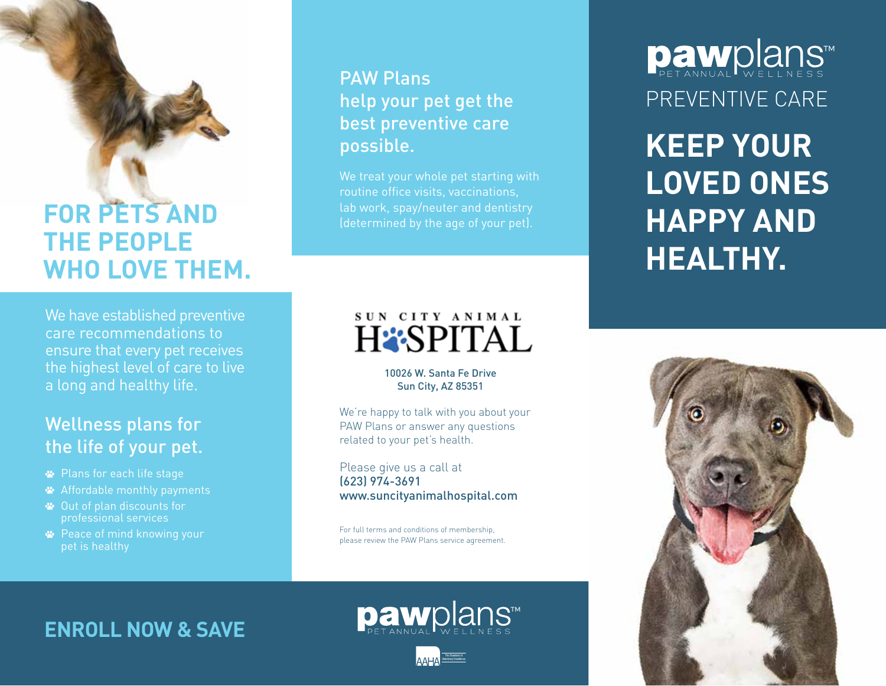## **FOR PETS AND THE PEOPLE WHO LOVE THEM.**

We have established preventive care recommendations to ensure that every pet receives the highest level of care to live a long and healthy life.

## Wellness plans for the life of your pet.

- Plans for each life stage
- Affordable monthly payments
- Out of plan discounts for professional services
- **<sup>■</sup>** Peace of mind knowing your pet is healthy

## PAW Plans help your pet get the best preventive care possible.

We treat your whole pet starting with routine office visits, vaccinations, lab work, spay/neuter and dentistry (determined by the age of your pet).

## SUN CITY ANIMAL **HESPITAL**

10026 W. Santa Fe Drive Sun City, AZ 85351

We're happy to talk with you about your PAW Plans or answer any questions related to your pet's health.

Please give us a call at (623) 974-3691 www.suncityanimalhospital.com

For full terms and conditions of membership, please review the PAW Plans service agreement.

# **Daw**plans™ PREVENTIVE CARE

**KEEP YOUR LOVED ONES HAPPY AND HEALTHY.**



## **ENROLL NOW & SAVE**



pawplans™